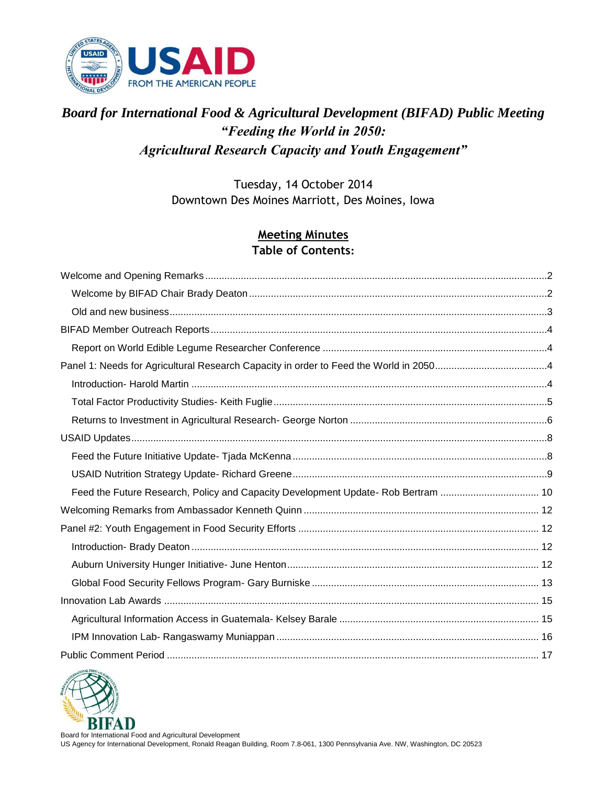

### *Board for International Food & Agricultural Development (BIFAD) Public Meeting "Feeding the World in 2050: Agricultural Research Capacity and Youth Engagement"*

Tuesday, 14 October 2014 Downtown Des Moines Marriott, Des Moines, Iowa

#### **Meeting Minutes Table of Contents:**

| Feed the Future Research, Policy and Capacity Development Update- Rob Bertram  10 |  |
|-----------------------------------------------------------------------------------|--|
|                                                                                   |  |
|                                                                                   |  |
|                                                                                   |  |
|                                                                                   |  |
|                                                                                   |  |
|                                                                                   |  |
|                                                                                   |  |
|                                                                                   |  |
|                                                                                   |  |

<span id="page-0-0"></span>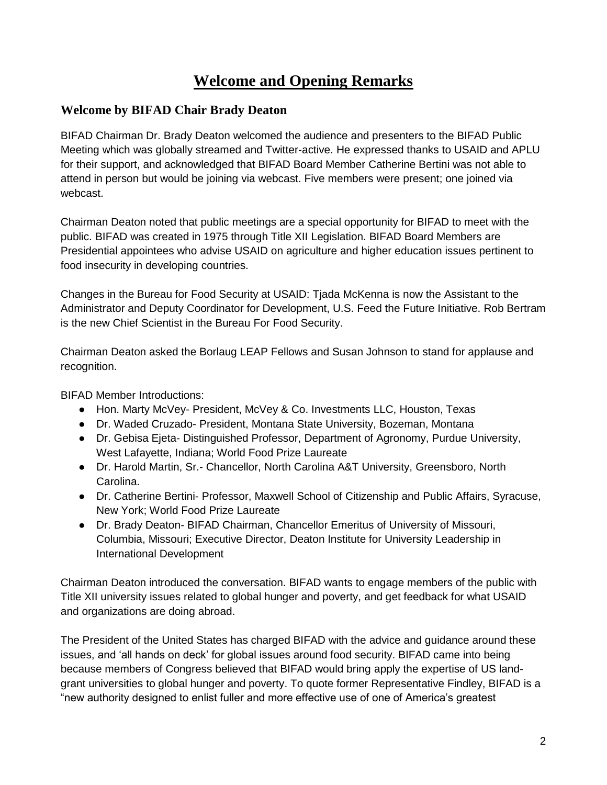# **Welcome and Opening Remarks**

#### <span id="page-1-0"></span>**Welcome by BIFAD Chair Brady Deaton**

BIFAD Chairman Dr. Brady Deaton welcomed the audience and presenters to the BIFAD Public Meeting which was globally streamed and Twitter-active. He expressed thanks to USAID and APLU for their support, and acknowledged that BIFAD Board Member Catherine Bertini was not able to attend in person but would be joining via webcast. Five members were present; one joined via webcast.

Chairman Deaton noted that public meetings are a special opportunity for BIFAD to meet with the public. BIFAD was created in 1975 through Title XII Legislation. BIFAD Board Members are Presidential appointees who advise USAID on agriculture and higher education issues pertinent to food insecurity in developing countries.

Changes in the Bureau for Food Security at USAID: Tjada McKenna is now the Assistant to the Administrator and Deputy Coordinator for Development, U.S. Feed the Future Initiative. Rob Bertram is the new Chief Scientist in the Bureau For Food Security.

Chairman Deaton asked the Borlaug LEAP Fellows and Susan Johnson to stand for applause and recognition.

BIFAD Member Introductions:

- Hon. Marty McVey- President, McVey & Co. Investments LLC, Houston, Texas
- Dr. Waded Cruzado- President, Montana State University, Bozeman, Montana
- Dr. Gebisa Ejeta- Distinguished Professor, Department of Agronomy, Purdue University, West Lafayette, Indiana; World Food Prize Laureate
- Dr. Harold Martin, Sr.- Chancellor, North Carolina A&T University, Greensboro, North Carolina.
- Dr. Catherine Bertini- Professor, Maxwell School of Citizenship and Public Affairs, Syracuse, New York; World Food Prize Laureate
- Dr. Brady Deaton- BIFAD Chairman, Chancellor Emeritus of University of Missouri, Columbia, Missouri; Executive Director, Deaton Institute for University Leadership in International Development

Chairman Deaton introduced the conversation. BIFAD wants to engage members of the public with Title XII university issues related to global hunger and poverty, and get feedback for what USAID and organizations are doing abroad.

The President of the United States has charged BIFAD with the advice and guidance around these issues, and 'all hands on deck' for global issues around food security. BIFAD came into being because members of Congress believed that BIFAD would bring apply the expertise of US landgrant universities to global hunger and poverty. To quote former Representative Findley, BIFAD is a "new authority designed to enlist fuller and more effective use of one of America's greatest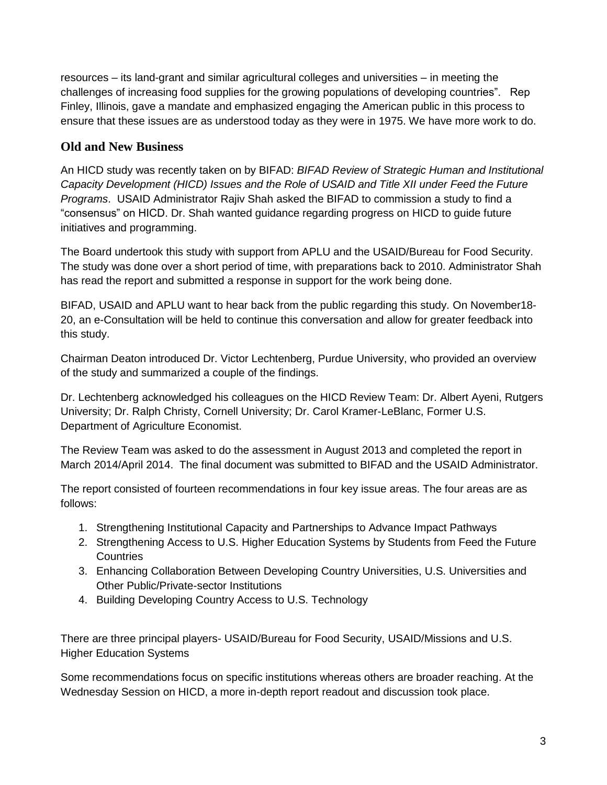resources – its land-grant and similar agricultural colleges and universities – in meeting the challenges of increasing food supplies for the growing populations of developing countries". Rep Finley, Illinois, gave a mandate and emphasized engaging the American public in this process to ensure that these issues are as understood today as they were in 1975. We have more work to do.

#### <span id="page-2-0"></span>**Old and New Business**

An HICD study was recently taken on by BIFAD: *BIFAD Review of Strategic Human and Institutional Capacity Development (HICD) Issues and the Role of USAID and Title XII under Feed the Future Programs*. USAID Administrator Rajiv Shah asked the BIFAD to commission a study to find a "consensus" on HICD. Dr. Shah wanted guidance regarding progress on HICD to guide future initiatives and programming.

The Board undertook this study with support from APLU and the USAID/Bureau for Food Security. The study was done over a short period of time, with preparations back to 2010. Administrator Shah has read the report and submitted a response in support for the work being done.

BIFAD, USAID and APLU want to hear back from the public regarding this study. On November18- 20, an e-Consultation will be held to continue this conversation and allow for greater feedback into this study.

Chairman Deaton introduced Dr. Victor Lechtenberg, Purdue University, who provided an overview of the study and summarized a couple of the findings.

Dr. Lechtenberg acknowledged his colleagues on the HICD Review Team: Dr. Albert Ayeni, Rutgers University; Dr. Ralph Christy, Cornell University; Dr. Carol Kramer-LeBlanc, Former U.S. Department of Agriculture Economist.

The Review Team was asked to do the assessment in August 2013 and completed the report in March 2014/April 2014. The final document was submitted to BIFAD and the USAID Administrator.

The report consisted of fourteen recommendations in four key issue areas. The four areas are as follows:

- 1. Strengthening Institutional Capacity and Partnerships to Advance Impact Pathways
- 2. Strengthening Access to U.S. Higher Education Systems by Students from Feed the Future **Countries**
- 3. Enhancing Collaboration Between Developing Country Universities, U.S. Universities and Other Public/Private-sector Institutions
- 4. Building Developing Country Access to U.S. Technology

There are three principal players- USAID/Bureau for Food Security, USAID/Missions and U.S. Higher Education Systems

Some recommendations focus on specific institutions whereas others are broader reaching. At the Wednesday Session on HICD, a more in-depth report readout and discussion took place.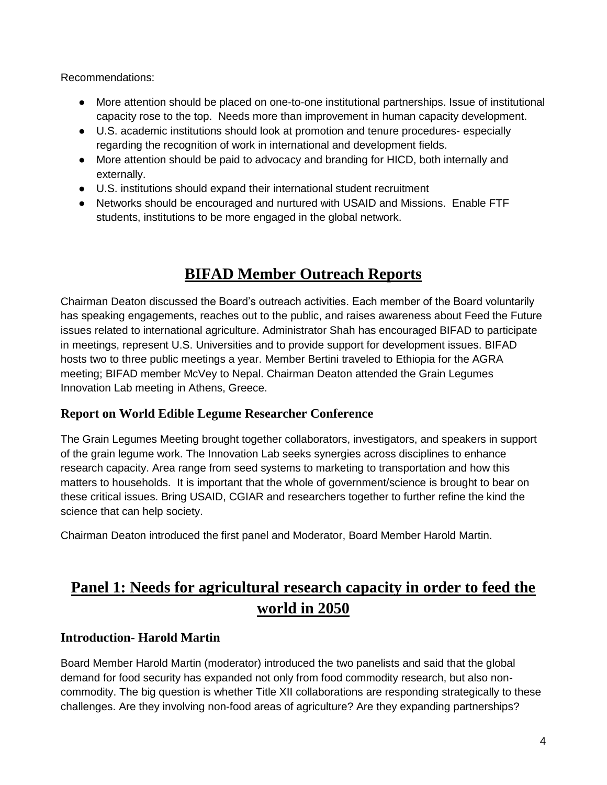Recommendations:

- More attention should be placed on one-to-one institutional partnerships. Issue of institutional capacity rose to the top. Needs more than improvement in human capacity development.
- U.S. academic institutions should look at promotion and tenure procedures- especially regarding the recognition of work in international and development fields.
- More attention should be paid to advocacy and branding for HICD, both internally and externally.
- U.S. institutions should expand their international student recruitment
- Networks should be encouraged and nurtured with USAID and Missions. Enable FTF students, institutions to be more engaged in the global network.

# **BIFAD Member Outreach Reports**

<span id="page-3-0"></span>Chairman Deaton discussed the Board's outreach activities. Each member of the Board voluntarily has speaking engagements, reaches out to the public, and raises awareness about Feed the Future issues related to international agriculture. Administrator Shah has encouraged BIFAD to participate in meetings, represent U.S. Universities and to provide support for development issues. BIFAD hosts two to three public meetings a year. Member Bertini traveled to Ethiopia for the AGRA meeting; BIFAD member McVey to Nepal. Chairman Deaton attended the Grain Legumes Innovation Lab meeting in Athens, Greece.

#### <span id="page-3-1"></span>**Report on World Edible Legume Researcher Conference**

The Grain Legumes Meeting brought together collaborators, investigators, and speakers in support of the grain legume work. The Innovation Lab seeks synergies across disciplines to enhance research capacity. Area range from seed systems to marketing to transportation and how this matters to households. It is important that the whole of government/science is brought to bear on these critical issues. Bring USAID, CGIAR and researchers together to further refine the kind the science that can help society.

Chairman Deaton introduced the first panel and Moderator, Board Member Harold Martin.

# <span id="page-3-2"></span>**Panel 1: Needs for agricultural research capacity in order to feed the world in 2050**

#### <span id="page-3-3"></span>**Introduction- Harold Martin**

Board Member Harold Martin (moderator) introduced the two panelists and said that the global demand for food security has expanded not only from food commodity research, but also noncommodity. The big question is whether Title XII collaborations are responding strategically to these challenges. Are they involving non-food areas of agriculture? Are they expanding partnerships?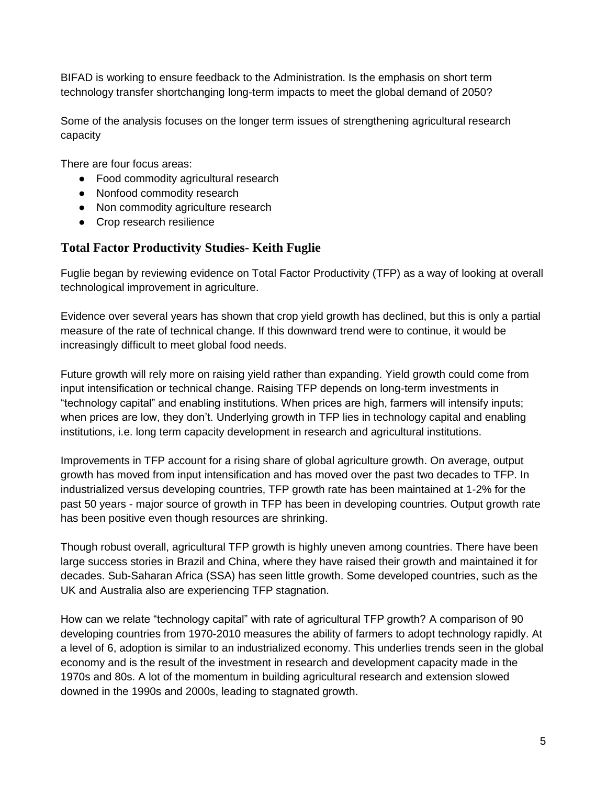BIFAD is working to ensure feedback to the Administration. Is the emphasis on short term technology transfer shortchanging long-term impacts to meet the global demand of 2050?

Some of the analysis focuses on the longer term issues of strengthening agricultural research capacity

There are four focus areas:

- Food commodity agricultural research
- Nonfood commodity research
- Non commodity agriculture research
- Crop research resilience

#### <span id="page-4-0"></span>**Total Factor Productivity Studies- Keith Fuglie**

Fuglie began by reviewing evidence on Total Factor Productivity (TFP) as a way of looking at overall technological improvement in agriculture.

Evidence over several years has shown that crop yield growth has declined, but this is only a partial measure of the rate of technical change. If this downward trend were to continue, it would be increasingly difficult to meet global food needs.

Future growth will rely more on raising yield rather than expanding. Yield growth could come from input intensification or technical change. Raising TFP depends on long-term investments in "technology capital" and enabling institutions. When prices are high, farmers will intensify inputs; when prices are low, they don't. Underlying growth in TFP lies in technology capital and enabling institutions, i.e. long term capacity development in research and agricultural institutions.

Improvements in TFP account for a rising share of global agriculture growth. On average, output growth has moved from input intensification and has moved over the past two decades to TFP. In industrialized versus developing countries, TFP growth rate has been maintained at 1-2% for the past 50 years - major source of growth in TFP has been in developing countries. Output growth rate has been positive even though resources are shrinking.

Though robust overall, agricultural TFP growth is highly uneven among countries. There have been large success stories in Brazil and China, where they have raised their growth and maintained it for decades. Sub-Saharan Africa (SSA) has seen little growth. Some developed countries, such as the UK and Australia also are experiencing TFP stagnation.

How can we relate "technology capital" with rate of agricultural TFP growth? A comparison of 90 developing countries from 1970-2010 measures the ability of farmers to adopt technology rapidly. At a level of 6, adoption is similar to an industrialized economy. This underlies trends seen in the global economy and is the result of the investment in research and development capacity made in the 1970s and 80s. A lot of the momentum in building agricultural research and extension slowed downed in the 1990s and 2000s, leading to stagnated growth.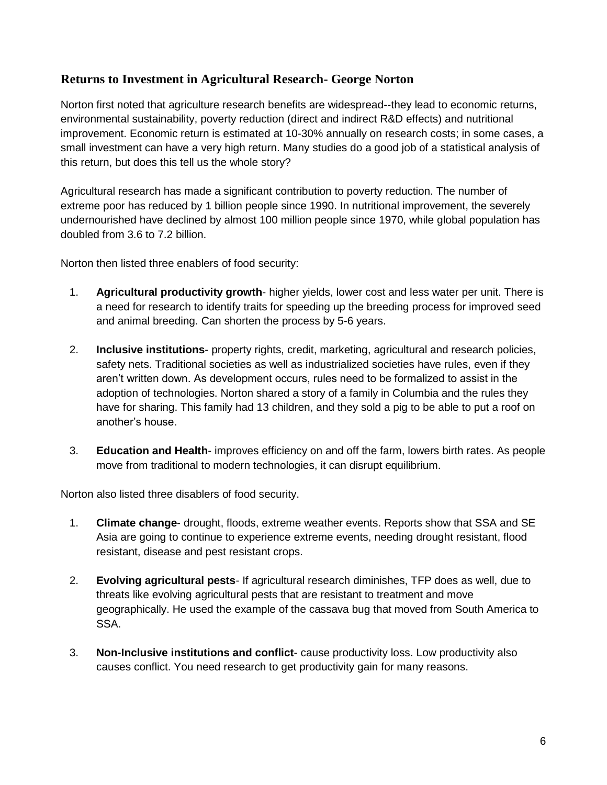#### <span id="page-5-0"></span>**Returns to Investment in Agricultural Research- George Norton**

Norton first noted that agriculture research benefits are widespread--they lead to economic returns, environmental sustainability, poverty reduction (direct and indirect R&D effects) and nutritional improvement. Economic return is estimated at 10-30% annually on research costs; in some cases, a small investment can have a very high return. Many studies do a good job of a statistical analysis of this return, but does this tell us the whole story?

Agricultural research has made a significant contribution to poverty reduction. The number of extreme poor has reduced by 1 billion people since 1990. In nutritional improvement, the severely undernourished have declined by almost 100 million people since 1970, while global population has doubled from 3.6 to 7.2 billion.

Norton then listed three enablers of food security:

- 1. **Agricultural productivity growth** higher yields, lower cost and less water per unit. There is a need for research to identify traits for speeding up the breeding process for improved seed and animal breeding. Can shorten the process by 5-6 years.
- 2. **Inclusive institutions** property rights, credit, marketing, agricultural and research policies, safety nets. Traditional societies as well as industrialized societies have rules, even if they aren't written down. As development occurs, rules need to be formalized to assist in the adoption of technologies. Norton shared a story of a family in Columbia and the rules they have for sharing. This family had 13 children, and they sold a pig to be able to put a roof on another's house.
- 3. **Education and Health** improves efficiency on and off the farm, lowers birth rates. As people move from traditional to modern technologies, it can disrupt equilibrium.

Norton also listed three disablers of food security.

- 1. **Climate change** drought, floods, extreme weather events. Reports show that SSA and SE Asia are going to continue to experience extreme events, needing drought resistant, flood resistant, disease and pest resistant crops.
- 2. **Evolving agricultural pests** If agricultural research diminishes, TFP does as well, due to threats like evolving agricultural pests that are resistant to treatment and move geographically. He used the example of the cassava bug that moved from South America to SSA.
- 3. **Non-Inclusive institutions and conflict** cause productivity loss. Low productivity also causes conflict. You need research to get productivity gain for many reasons.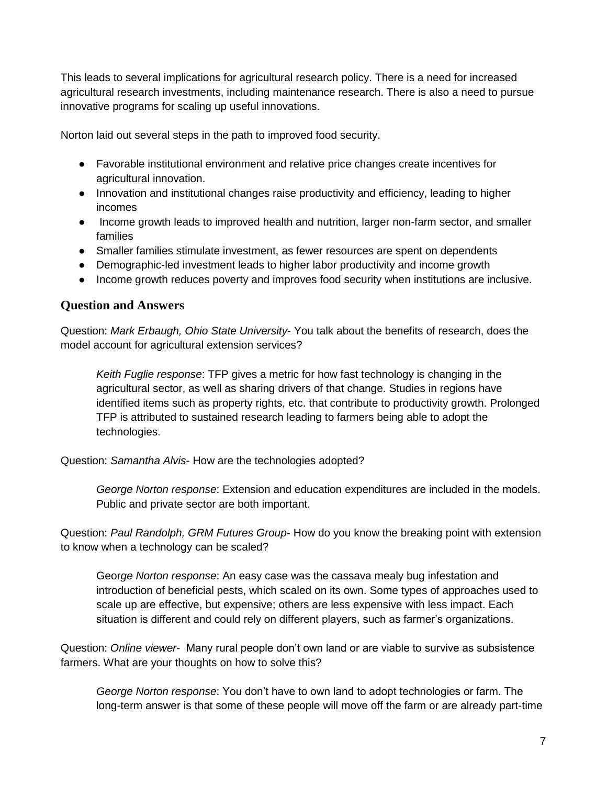This leads to several implications for agricultural research policy. There is a need for increased agricultural research investments, including maintenance research. There is also a need to pursue innovative programs for scaling up useful innovations.

Norton laid out several steps in the path to improved food security.

- Favorable institutional environment and relative price changes create incentives for agricultural innovation.
- Innovation and institutional changes raise productivity and efficiency, leading to higher incomes
- Income growth leads to improved health and nutrition, larger non-farm sector, and smaller families
- Smaller families stimulate investment, as fewer resources are spent on dependents
- Demographic-led investment leads to higher labor productivity and income growth
- Income growth reduces poverty and improves food security when institutions are inclusive.

#### **Question and Answers**

Question: *Mark Erbaugh, Ohio State University*- You talk about the benefits of research, does the model account for agricultural extension services?

*Keith Fuglie response*: TFP gives a metric for how fast technology is changing in the agricultural sector, as well as sharing drivers of that change. Studies in regions have identified items such as property rights, etc. that contribute to productivity growth. Prolonged TFP is attributed to sustained research leading to farmers being able to adopt the technologies.

Question: *Samantha Alvis*- How are the technologies adopted?

*George Norton response*: Extension and education expenditures are included in the models. Public and private sector are both important.

Question: *Paul Randolph, GRM Futures Group*- How do you know the breaking point with extension to know when a technology can be scaled?

Geor*ge Norton response*: An easy case was the cassava mealy bug infestation and introduction of beneficial pests, which scaled on its own. Some types of approaches used to scale up are effective, but expensive; others are less expensive with less impact. Each situation is different and could rely on different players, such as farmer's organizations.

Question: *Online viewer*- Many rural people don't own land or are viable to survive as subsistence farmers. What are your thoughts on how to solve this?

*George Norton response*: You don't have to own land to adopt technologies or farm. The long-term answer is that some of these people will move off the farm or are already part-time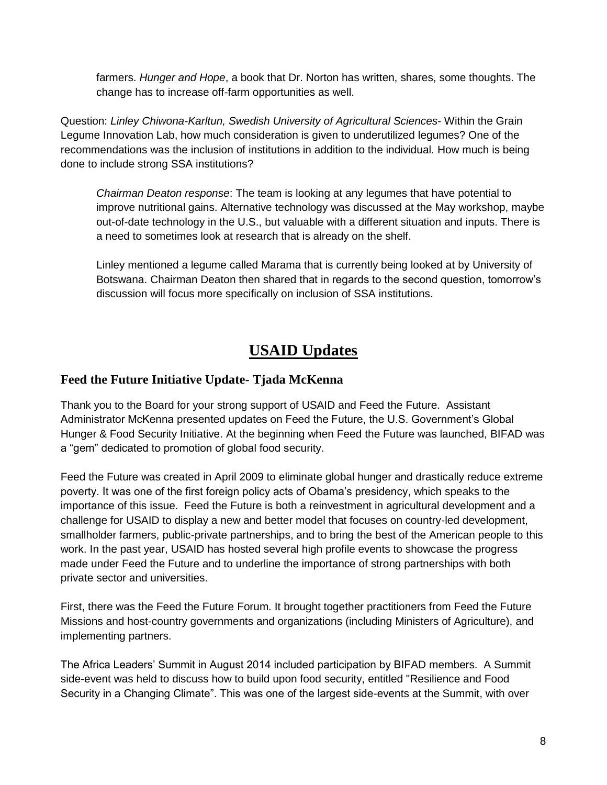farmers. *Hunger and Hope*, a book that Dr. Norton has written, shares, some thoughts. The change has to increase off-farm opportunities as well.

Question: *Linley Chiwona-Karltun, Swedish University of Agricultural Sciences*- Within the Grain Legume Innovation Lab, how much consideration is given to underutilized legumes? One of the recommendations was the inclusion of institutions in addition to the individual. How much is being done to include strong SSA institutions?

*Chairman Deaton response*: The team is looking at any legumes that have potential to improve nutritional gains. Alternative technology was discussed at the May workshop, maybe out-of-date technology in the U.S., but valuable with a different situation and inputs. There is a need to sometimes look at research that is already on the shelf.

Linley mentioned a legume called Marama that is currently being looked at by University of Botswana. Chairman Deaton then shared that in regards to the second question, tomorrow's discussion will focus more specifically on inclusion of SSA institutions.

### **USAID Updates**

#### <span id="page-7-1"></span><span id="page-7-0"></span>**Feed the Future Initiative Update- Tjada McKenna**

Thank you to the Board for your strong support of USAID and Feed the Future. Assistant Administrator McKenna presented updates on Feed the Future, the U.S. Government's Global Hunger & Food Security Initiative. At the beginning when Feed the Future was launched, BIFAD was a "gem" dedicated to promotion of global food security.

Feed the Future was created in April 2009 to eliminate global hunger and drastically reduce extreme poverty. It was one of the first foreign policy acts of Obama's presidency, which speaks to the importance of this issue. Feed the Future is both a reinvestment in agricultural development and a challenge for USAID to display a new and better model that focuses on country-led development, smallholder farmers, public-private partnerships, and to bring the best of the American people to this work. In the past year, USAID has hosted several high profile events to showcase the progress made under Feed the Future and to underline the importance of strong partnerships with both private sector and universities.

First, there was the Feed the Future Forum. It brought together practitioners from Feed the Future Missions and host-country governments and organizations (including Ministers of Agriculture), and implementing partners.

The Africa Leaders' Summit in August 2014 included participation by BIFAD members. A Summit side-event was held to discuss how to build upon food security, entitled "Resilience and Food Security in a Changing Climate". This was one of the largest side-events at the Summit, with over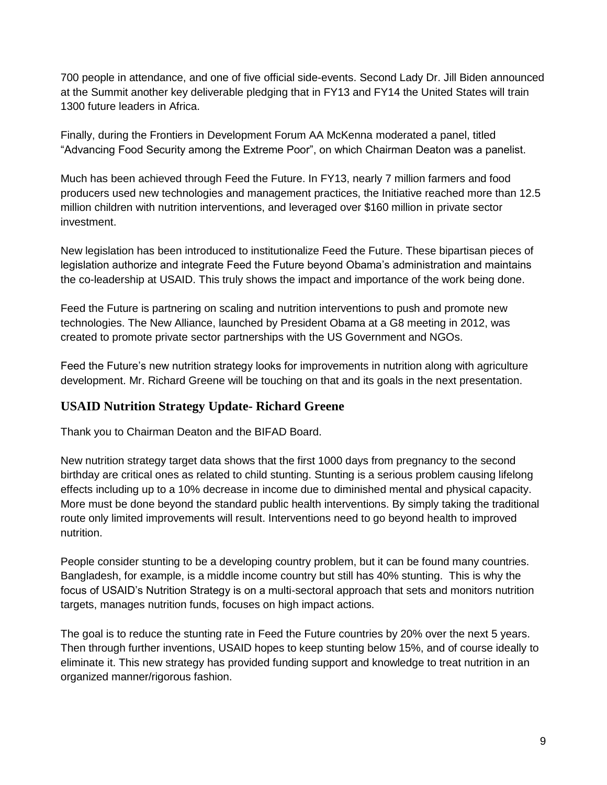700 people in attendance, and one of five official side-events. Second Lady Dr. Jill Biden announced at the Summit another key deliverable pledging that in FY13 and FY14 the United States will train 1300 future leaders in Africa.

Finally, during the Frontiers in Development Forum AA McKenna moderated a panel, titled "Advancing Food Security among the Extreme Poor", on which Chairman Deaton was a panelist.

Much has been achieved through Feed the Future. In FY13, nearly 7 million farmers and food producers used new technologies and management practices, the Initiative reached more than 12.5 million children with nutrition interventions, and leveraged over \$160 million in private sector investment.

New legislation has been introduced to institutionalize Feed the Future. These bipartisan pieces of legislation authorize and integrate Feed the Future beyond Obama's administration and maintains the co-leadership at USAID. This truly shows the impact and importance of the work being done.

Feed the Future is partnering on scaling and nutrition interventions to push and promote new technologies. The New Alliance, launched by President Obama at a G8 meeting in 2012, was created to promote private sector partnerships with the US Government and NGOs.

Feed the Future's new nutrition strategy looks for improvements in nutrition along with agriculture development. Mr. Richard Greene will be touching on that and its goals in the next presentation.

#### <span id="page-8-0"></span>**USAID Nutrition Strategy Update- Richard Greene**

Thank you to Chairman Deaton and the BIFAD Board.

New nutrition strategy target data shows that the first 1000 days from pregnancy to the second birthday are critical ones as related to child stunting. Stunting is a serious problem causing lifelong effects including up to a 10% decrease in income due to diminished mental and physical capacity. More must be done beyond the standard public health interventions. By simply taking the traditional route only limited improvements will result. Interventions need to go beyond health to improved nutrition.

People consider stunting to be a developing country problem, but it can be found many countries. Bangladesh, for example, is a middle income country but still has 40% stunting. This is why the focus of USAID's Nutrition Strategy is on a multi-sectoral approach that sets and monitors nutrition targets, manages nutrition funds, focuses on high impact actions.

The goal is to reduce the stunting rate in Feed the Future countries by 20% over the next 5 years. Then through further inventions, USAID hopes to keep stunting below 15%, and of course ideally to eliminate it. This new strategy has provided funding support and knowledge to treat nutrition in an organized manner/rigorous fashion.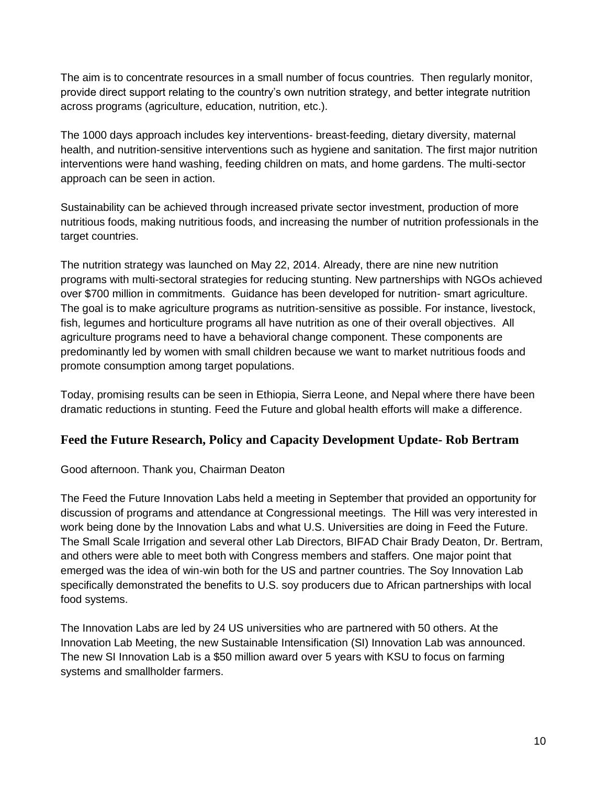The aim is to concentrate resources in a small number of focus countries. Then regularly monitor, provide direct support relating to the country's own nutrition strategy, and better integrate nutrition across programs (agriculture, education, nutrition, etc.).

The 1000 days approach includes key interventions- breast-feeding, dietary diversity, maternal health, and nutrition-sensitive interventions such as hygiene and sanitation. The first major nutrition interventions were hand washing, feeding children on mats, and home gardens. The multi-sector approach can be seen in action.

Sustainability can be achieved through increased private sector investment, production of more nutritious foods, making nutritious foods, and increasing the number of nutrition professionals in the target countries.

The nutrition strategy was launched on May 22, 2014. Already, there are nine new nutrition programs with multi-sectoral strategies for reducing stunting. New partnerships with NGOs achieved over \$700 million in commitments. Guidance has been developed for nutrition- smart agriculture. The goal is to make agriculture programs as nutrition-sensitive as possible. For instance, livestock, fish, legumes and horticulture programs all have nutrition as one of their overall objectives. All agriculture programs need to have a behavioral change component. These components are predominantly led by women with small children because we want to market nutritious foods and promote consumption among target populations.

<span id="page-9-0"></span>Today, promising results can be seen in Ethiopia, Sierra Leone, and Nepal where there have been dramatic reductions in stunting. Feed the Future and global health efforts will make a difference.

#### **Feed the Future Research, Policy and Capacity Development Update- Rob Bertram**

#### Good afternoon. Thank you, Chairman Deaton

The Feed the Future Innovation Labs held a meeting in September that provided an opportunity for discussion of programs and attendance at Congressional meetings. The Hill was very interested in work being done by the Innovation Labs and what U.S. Universities are doing in Feed the Future. The Small Scale Irrigation and several other Lab Directors, BIFAD Chair Brady Deaton, Dr. Bertram, and others were able to meet both with Congress members and staffers. One major point that emerged was the idea of win-win both for the US and partner countries. The Soy Innovation Lab specifically demonstrated the benefits to U.S. soy producers due to African partnerships with local food systems.

The Innovation Labs are led by 24 US universities who are partnered with 50 others. At the Innovation Lab Meeting, the new Sustainable Intensification (SI) Innovation Lab was announced. The new SI Innovation Lab is a \$50 million award over 5 years with KSU to focus on farming systems and smallholder farmers.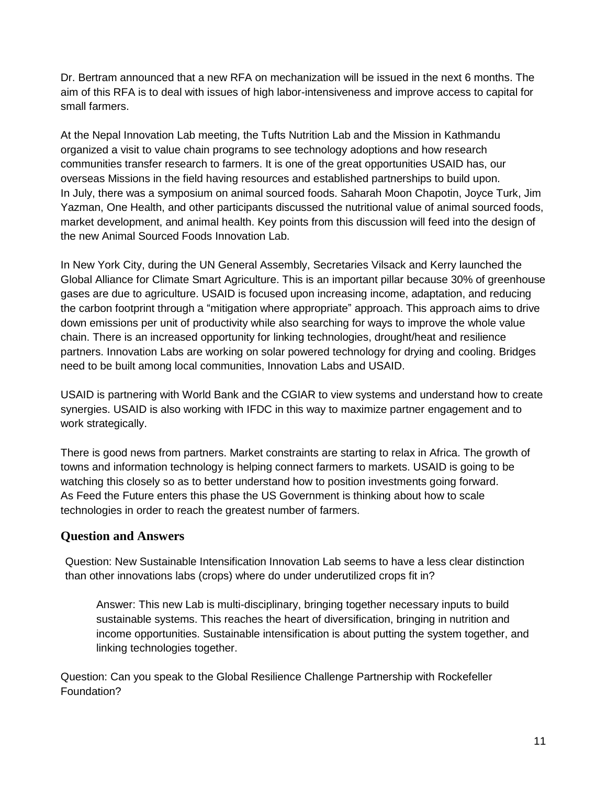Dr. Bertram announced that a new RFA on mechanization will be issued in the next 6 months. The aim of this RFA is to deal with issues of high labor-intensiveness and improve access to capital for small farmers.

At the Nepal Innovation Lab meeting, the Tufts Nutrition Lab and the Mission in Kathmandu organized a visit to value chain programs to see technology adoptions and how research communities transfer research to farmers. It is one of the great opportunities USAID has, our overseas Missions in the field having resources and established partnerships to build upon. In July, there was a symposium on animal sourced foods. Saharah Moon Chapotin, Joyce Turk, Jim Yazman, One Health, and other participants discussed the nutritional value of animal sourced foods, market development, and animal health. Key points from this discussion will feed into the design of the new Animal Sourced Foods Innovation Lab.

In New York City, during the UN General Assembly, Secretaries Vilsack and Kerry launched the Global Alliance for Climate Smart Agriculture. This is an important pillar because 30% of greenhouse gases are due to agriculture. USAID is focused upon increasing income, adaptation, and reducing the carbon footprint through a "mitigation where appropriate" approach. This approach aims to drive down emissions per unit of productivity while also searching for ways to improve the whole value chain. There is an increased opportunity for linking technologies, drought/heat and resilience partners. Innovation Labs are working on solar powered technology for drying and cooling. Bridges need to be built among local communities, Innovation Labs and USAID.

USAID is partnering with World Bank and the CGIAR to view systems and understand how to create synergies. USAID is also working with IFDC in this way to maximize partner engagement and to work strategically.

There is good news from partners. Market constraints are starting to relax in Africa. The growth of towns and information technology is helping connect farmers to markets. USAID is going to be watching this closely so as to better understand how to position investments going forward. As Feed the Future enters this phase the US Government is thinking about how to scale technologies in order to reach the greatest number of farmers.

#### **Question and Answers**

Question: New Sustainable Intensification Innovation Lab seems to have a less clear distinction than other innovations labs (crops) where do under underutilized crops fit in?

Answer: This new Lab is multi-disciplinary, bringing together necessary inputs to build sustainable systems. This reaches the heart of diversification, bringing in nutrition and income opportunities. Sustainable intensification is about putting the system together, and linking technologies together.

Question: Can you speak to the Global Resilience Challenge Partnership with Rockefeller Foundation?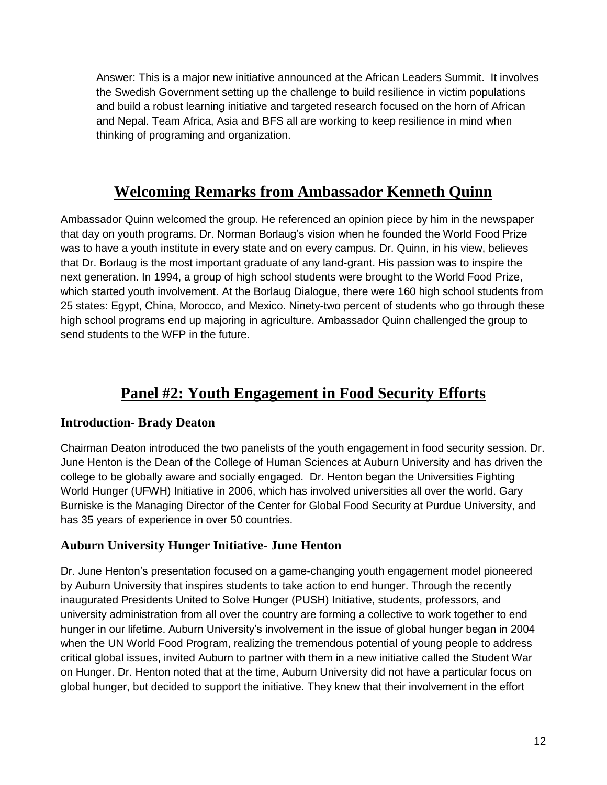Answer: This is a major new initiative announced at the African Leaders Summit. It involves the Swedish Government setting up the challenge to build resilience in victim populations and build a robust learning initiative and targeted research focused on the horn of African and Nepal. Team Africa, Asia and BFS all are working to keep resilience in mind when thinking of programing and organization.

## **Welcoming Remarks from Ambassador Kenneth Quinn**

<span id="page-11-0"></span>Ambassador Quinn welcomed the group. He referenced an opinion piece by him in the newspaper that day on youth programs. Dr. Norman Borlaug's vision when he founded the World Food Prize was to have a youth institute in every state and on every campus. Dr. Quinn, in his view, believes that Dr. Borlaug is the most important graduate of any land-grant. His passion was to inspire the next generation. In 1994, a group of high school students were brought to the World Food Prize, which started youth involvement. At the Borlaug Dialogue, there were 160 high school students from 25 states: Egypt, China, Morocco, and Mexico. Ninety-two percent of students who go through these high school programs end up majoring in agriculture. Ambassador Quinn challenged the group to send students to the WFP in the future.

## **Panel #2: Youth Engagement in Food Security Efforts**

#### <span id="page-11-2"></span><span id="page-11-1"></span>**Introduction- Brady Deaton**

Chairman Deaton introduced the two panelists of the youth engagement in food security session. Dr. June Henton is the Dean of the College of Human Sciences at Auburn University and has driven the college to be globally aware and socially engaged. Dr. Henton began the Universities Fighting World Hunger (UFWH) Initiative in 2006, which has involved universities all over the world. Gary Burniske is the Managing Director of the Center for Global Food Security at Purdue University, and has 35 years of experience in over 50 countries.

#### <span id="page-11-3"></span>**Auburn University Hunger Initiative- June Henton**

Dr. June Henton's presentation focused on a game-changing youth engagement model pioneered by Auburn University that inspires students to take action to end hunger. Through the recently inaugurated Presidents United to Solve Hunger (PUSH) Initiative, students, professors, and university administration from all over the country are forming a collective to work together to end hunger in our lifetime. Auburn University's involvement in the issue of global hunger began in 2004 when the UN World Food Program, realizing the tremendous potential of young people to address critical global issues, invited Auburn to partner with them in a new initiative called the Student War on Hunger. Dr. Henton noted that at the time, Auburn University did not have a particular focus on global hunger, but decided to support the initiative. They knew that their involvement in the effort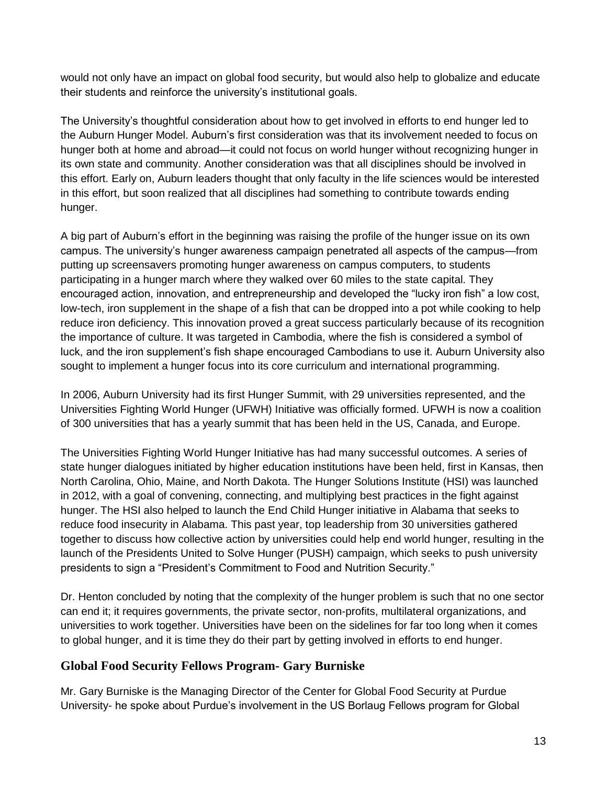would not only have an impact on global food security, but would also help to globalize and educate their students and reinforce the university's institutional goals.

The University's thoughtful consideration about how to get involved in efforts to end hunger led to the Auburn Hunger Model. Auburn's first consideration was that its involvement needed to focus on hunger both at home and abroad—it could not focus on world hunger without recognizing hunger in its own state and community. Another consideration was that all disciplines should be involved in this effort. Early on, Auburn leaders thought that only faculty in the life sciences would be interested in this effort, but soon realized that all disciplines had something to contribute towards ending hunger.

A big part of Auburn's effort in the beginning was raising the profile of the hunger issue on its own campus. The university's hunger awareness campaign penetrated all aspects of the campus—from putting up screensavers promoting hunger awareness on campus computers, to students participating in a hunger march where they walked over 60 miles to the state capital. They encouraged action, innovation, and entrepreneurship and developed the "lucky iron fish" a low cost, low-tech, iron supplement in the shape of a fish that can be dropped into a pot while cooking to help reduce iron deficiency. This innovation proved a great success particularly because of its recognition the importance of culture. It was targeted in Cambodia, where the fish is considered a symbol of luck, and the iron supplement's fish shape encouraged Cambodians to use it. Auburn University also sought to implement a hunger focus into its core curriculum and international programming.

In 2006, Auburn University had its first Hunger Summit, with 29 universities represented, and the Universities Fighting World Hunger (UFWH) Initiative was officially formed. UFWH is now a coalition of 300 universities that has a yearly summit that has been held in the US, Canada, and Europe.

The Universities Fighting World Hunger Initiative has had many successful outcomes. A series of state hunger dialogues initiated by higher education institutions have been held, first in Kansas, then North Carolina, Ohio, Maine, and North Dakota. The Hunger Solutions Institute (HSI) was launched in 2012, with a goal of convening, connecting, and multiplying best practices in the fight against hunger. The HSI also helped to launch the End Child Hunger initiative in Alabama that seeks to reduce food insecurity in Alabama. This past year, top leadership from 30 universities gathered together to discuss how collective action by universities could help end world hunger, resulting in the launch of the Presidents United to Solve Hunger (PUSH) campaign, which seeks to push university presidents to sign a "President's Commitment to Food and Nutrition Security."

Dr. Henton concluded by noting that the complexity of the hunger problem is such that no one sector can end it; it requires governments, the private sector, non-profits, multilateral organizations, and universities to work together. Universities have been on the sidelines for far too long when it comes to global hunger, and it is time they do their part by getting involved in efforts to end hunger.

#### <span id="page-12-0"></span>**Global Food Security Fellows Program- Gary Burniske**

Mr. Gary Burniske is the Managing Director of the Center for Global Food Security at Purdue University- he spoke about Purdue's involvement in the US Borlaug Fellows program for Global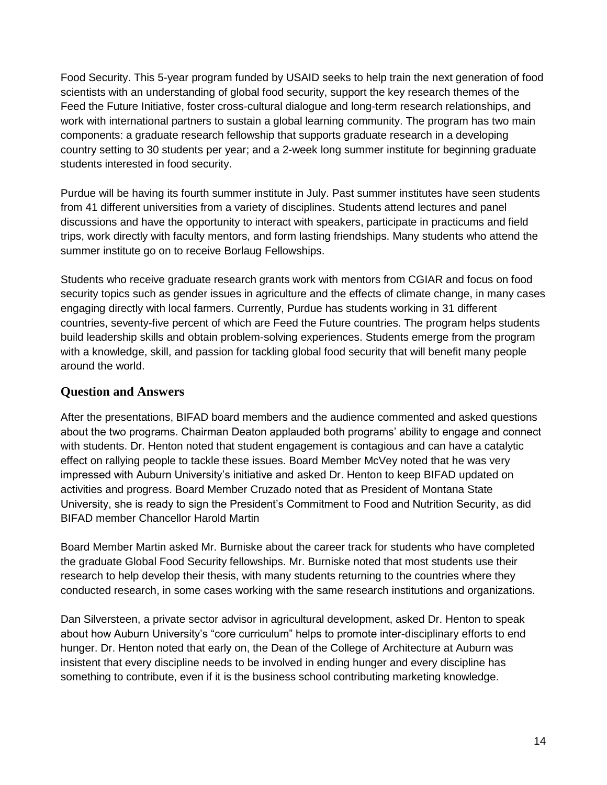Food Security. This 5-year program funded by USAID seeks to help train the next generation of food scientists with an understanding of global food security, support the key research themes of the Feed the Future Initiative, foster cross-cultural dialogue and long-term research relationships, and work with international partners to sustain a global learning community. The program has two main components: a graduate research fellowship that supports graduate research in a developing country setting to 30 students per year; and a 2-week long summer institute for beginning graduate students interested in food security.

Purdue will be having its fourth summer institute in July. Past summer institutes have seen students from 41 different universities from a variety of disciplines. Students attend lectures and panel discussions and have the opportunity to interact with speakers, participate in practicums and field trips, work directly with faculty mentors, and form lasting friendships. Many students who attend the summer institute go on to receive Borlaug Fellowships.

Students who receive graduate research grants work with mentors from CGIAR and focus on food security topics such as gender issues in agriculture and the effects of climate change, in many cases engaging directly with local farmers. Currently, Purdue has students working in 31 different countries, seventy-five percent of which are Feed the Future countries. The program helps students build leadership skills and obtain problem-solving experiences. Students emerge from the program with a knowledge, skill, and passion for tackling global food security that will benefit many people around the world.

#### **Question and Answers**

After the presentations, BIFAD board members and the audience commented and asked questions about the two programs. Chairman Deaton applauded both programs' ability to engage and connect with students. Dr. Henton noted that student engagement is contagious and can have a catalytic effect on rallying people to tackle these issues. Board Member McVey noted that he was very impressed with Auburn University's initiative and asked Dr. Henton to keep BIFAD updated on activities and progress. Board Member Cruzado noted that as President of Montana State University, she is ready to sign the President's Commitment to Food and Nutrition Security, as did BIFAD member Chancellor Harold Martin

Board Member Martin asked Mr. Burniske about the career track for students who have completed the graduate Global Food Security fellowships. Mr. Burniske noted that most students use their research to help develop their thesis, with many students returning to the countries where they conducted research, in some cases working with the same research institutions and organizations.

Dan Silversteen, a private sector advisor in agricultural development, asked Dr. Henton to speak about how Auburn University's "core curriculum" helps to promote inter-disciplinary efforts to end hunger. Dr. Henton noted that early on, the Dean of the College of Architecture at Auburn was insistent that every discipline needs to be involved in ending hunger and every discipline has something to contribute, even if it is the business school contributing marketing knowledge.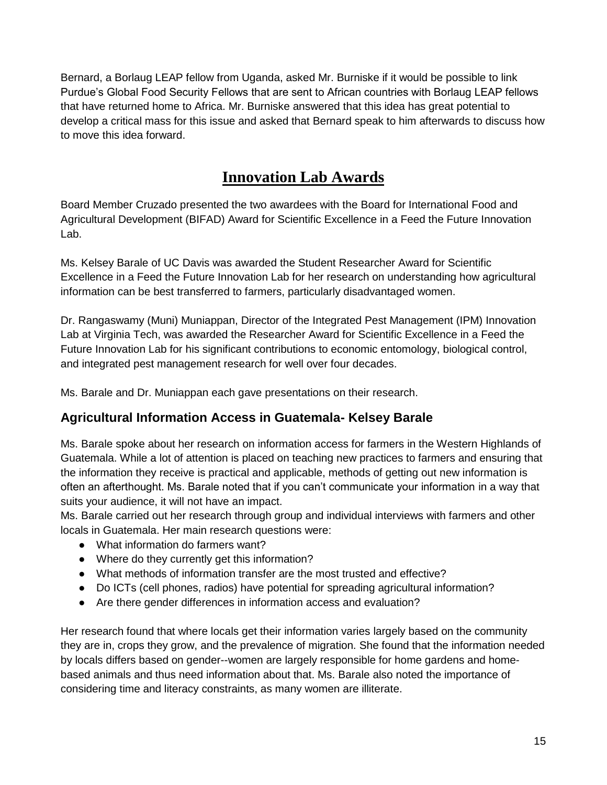Bernard, a Borlaug LEAP fellow from Uganda, asked Mr. Burniske if it would be possible to link Purdue's Global Food Security Fellows that are sent to African countries with Borlaug LEAP fellows that have returned home to Africa. Mr. Burniske answered that this idea has great potential to develop a critical mass for this issue and asked that Bernard speak to him afterwards to discuss how to move this idea forward.

# **Innovation Lab Awards**

<span id="page-14-0"></span>Board Member Cruzado presented the two awardees with the Board for International Food and Agricultural Development (BIFAD) Award for Scientific Excellence in a Feed the Future Innovation Lab.

Ms. Kelsey Barale of UC Davis was awarded the Student Researcher Award for Scientific Excellence in a Feed the Future Innovation Lab for her research on understanding how agricultural information can be best transferred to farmers, particularly disadvantaged women.

Dr. Rangaswamy (Muni) Muniappan, Director of the Integrated Pest Management (IPM) Innovation Lab at Virginia Tech, was awarded the Researcher Award for Scientific Excellence in a Feed the Future Innovation Lab for his significant contributions to economic entomology, biological control, and integrated pest management research for well over four decades.

Ms. Barale and Dr. Muniappan each gave presentations on their research.

### <span id="page-14-1"></span>**Agricultural Information Access in Guatemala- Kelsey Barale**

Ms. Barale spoke about her research on information access for farmers in the Western Highlands of Guatemala. While a lot of attention is placed on teaching new practices to farmers and ensuring that the information they receive is practical and applicable, methods of getting out new information is often an afterthought. Ms. Barale noted that if you can't communicate your information in a way that suits your audience, it will not have an impact.

Ms. Barale carried out her research through group and individual interviews with farmers and other locals in Guatemala. Her main research questions were:

- What information do farmers want?
- Where do they currently get this information?
- What methods of information transfer are the most trusted and effective?
- Do ICTs (cell phones, radios) have potential for spreading agricultural information?
- Are there gender differences in information access and evaluation?

Her research found that where locals get their information varies largely based on the community they are in, crops they grow, and the prevalence of migration. She found that the information needed by locals differs based on gender--women are largely responsible for home gardens and homebased animals and thus need information about that. Ms. Barale also noted the importance of considering time and literacy constraints, as many women are illiterate.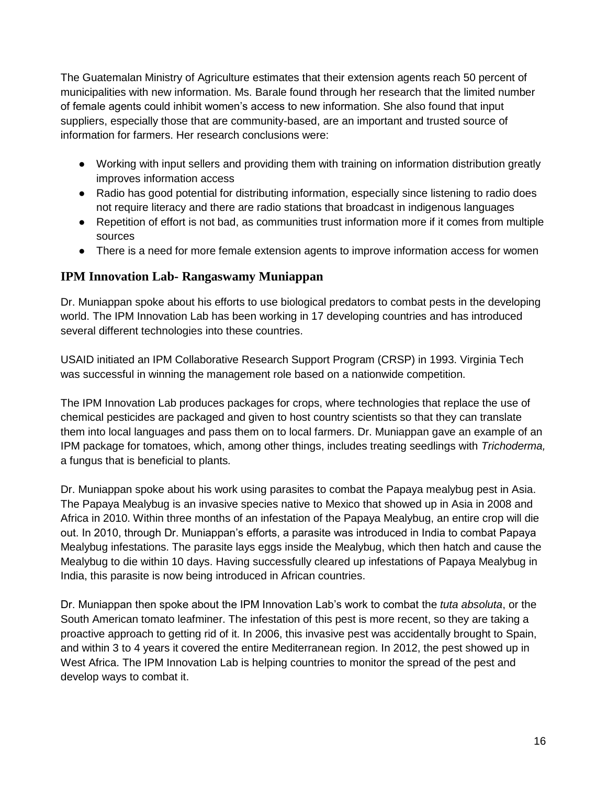The Guatemalan Ministry of Agriculture estimates that their extension agents reach 50 percent of municipalities with new information. Ms. Barale found through her research that the limited number of female agents could inhibit women's access to new information. She also found that input suppliers, especially those that are community-based, are an important and trusted source of information for farmers. Her research conclusions were:

- Working with input sellers and providing them with training on information distribution greatly improves information access
- Radio has good potential for distributing information, especially since listening to radio does not require literacy and there are radio stations that broadcast in indigenous languages
- Repetition of effort is not bad, as communities trust information more if it comes from multiple sources
- There is a need for more female extension agents to improve information access for women

#### <span id="page-15-0"></span>**IPM Innovation Lab- Rangaswamy Muniappan**

Dr. Muniappan spoke about his efforts to use biological predators to combat pests in the developing world. The IPM Innovation Lab has been working in 17 developing countries and has introduced several different technologies into these countries.

USAID initiated an IPM Collaborative Research Support Program (CRSP) in 1993. Virginia Tech was successful in winning the management role based on a nationwide competition.

The IPM Innovation Lab produces packages for crops, where technologies that replace the use of chemical pesticides are packaged and given to host country scientists so that they can translate them into local languages and pass them on to local farmers. Dr. Muniappan gave an example of an IPM package for tomatoes, which, among other things, includes treating seedlings with *Trichoderma,* a fungus that is beneficial to plants*.*

Dr. Muniappan spoke about his work using parasites to combat the Papaya mealybug pest in Asia. The Papaya Mealybug is an invasive species native to Mexico that showed up in Asia in 2008 and Africa in 2010. Within three months of an infestation of the Papaya Mealybug, an entire crop will die out. In 2010, through Dr. Muniappan's efforts, a parasite was introduced in India to combat Papaya Mealybug infestations. The parasite lays eggs inside the Mealybug, which then hatch and cause the Mealybug to die within 10 days. Having successfully cleared up infestations of Papaya Mealybug in India, this parasite is now being introduced in African countries.

Dr. Muniappan then spoke about the IPM Innovation Lab's work to combat the *tuta absoluta*, or the South American tomato leafminer. The infestation of this pest is more recent, so they are taking a proactive approach to getting rid of it. In 2006, this invasive pest was accidentally brought to Spain, and within 3 to 4 years it covered the entire Mediterranean region. In 2012, the pest showed up in West Africa. The IPM Innovation Lab is helping countries to monitor the spread of the pest and develop ways to combat it.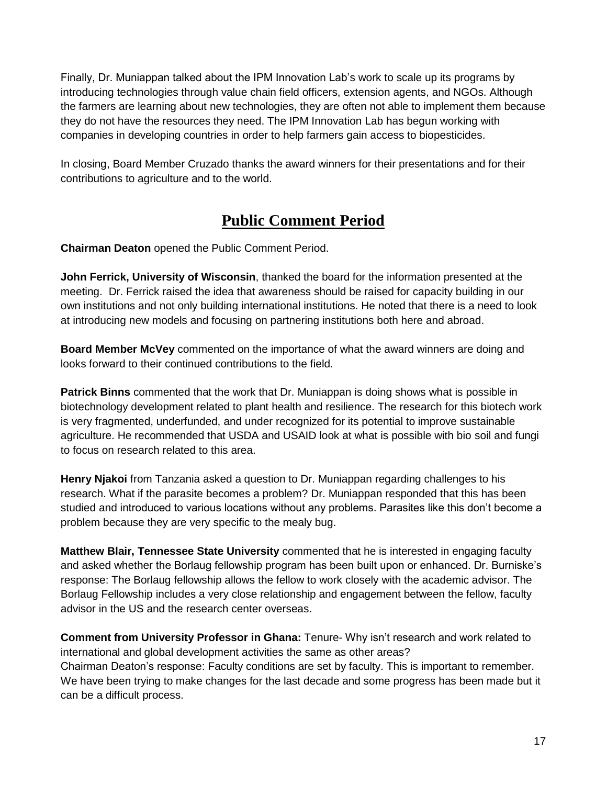Finally, Dr. Muniappan talked about the IPM Innovation Lab's work to scale up its programs by introducing technologies through value chain field officers, extension agents, and NGOs. Although the farmers are learning about new technologies, they are often not able to implement them because they do not have the resources they need. The IPM Innovation Lab has begun working with companies in developing countries in order to help farmers gain access to biopesticides.

In closing, Board Member Cruzado thanks the award winners for their presentations and for their contributions to agriculture and to the world.

## **Public Comment Period**

<span id="page-16-0"></span>**Chairman Deaton** opened the Public Comment Period.

**John Ferrick, University of Wisconsin**, thanked the board for the information presented at the meeting. Dr. Ferrick raised the idea that awareness should be raised for capacity building in our own institutions and not only building international institutions. He noted that there is a need to look at introducing new models and focusing on partnering institutions both here and abroad.

**Board Member McVey** commented on the importance of what the award winners are doing and looks forward to their continued contributions to the field.

**Patrick Binns** commented that the work that Dr. Muniappan is doing shows what is possible in biotechnology development related to plant health and resilience. The research for this biotech work is very fragmented, underfunded, and under recognized for its potential to improve sustainable agriculture. He recommended that USDA and USAID look at what is possible with bio soil and fungi to focus on research related to this area.

**Henry Njakoi** from Tanzania asked a question to Dr. Muniappan regarding challenges to his research. What if the parasite becomes a problem? Dr. Muniappan responded that this has been studied and introduced to various locations without any problems. Parasites like this don't become a problem because they are very specific to the mealy bug.

**Matthew Blair, Tennessee State University** commented that he is interested in engaging faculty and asked whether the Borlaug fellowship program has been built upon or enhanced. Dr. Burniske's response: The Borlaug fellowship allows the fellow to work closely with the academic advisor. The Borlaug Fellowship includes a very close relationship and engagement between the fellow, faculty advisor in the US and the research center overseas.

**Comment from University Professor in Ghana:** Tenure- Why isn't research and work related to international and global development activities the same as other areas? Chairman Deaton's response: Faculty conditions are set by faculty. This is important to remember. We have been trying to make changes for the last decade and some progress has been made but it can be a difficult process.